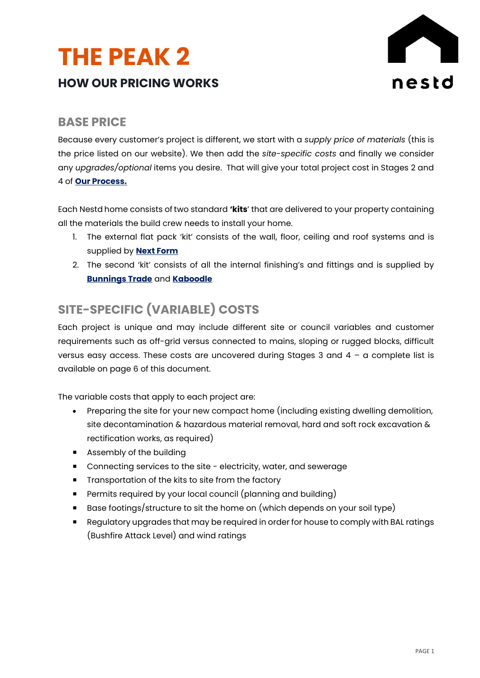# **THE PEAK 2 HOW OUR PRICING WORKS**



# **BASE PRICE**

Because every customer's project is different, we start with a *supply price of materials* (this is the price listed on our website). We then add the *site-specific costs* and finally we consider any *upgrades/optional* items you desire. That will give your total project cost in Stages 2 and 4 of **Our Process.**

Each Nestd home consists of two standard **'kits**' that are delivered to your property containing all the materials the build crew needs to install your home.

- 1. The external flat pack 'kit' consists of the wall, floor, ceiling and roof systems and is supplied by **[Next Form](http://www.nextform.com.au/)**
- 2. The second 'kit' consists of all the internal finishing's and fittings and is supplied by **[Bunnings](https://www.bunnings.com.au/) Trade** and **[Kaboodle](https://www.kaboodle.com.au/)**

# **SITE-SPECIFIC (VARIABLE) COSTS**

Each project is unique and may include different site or council variables and customer requirements such as off-grid versus connected to mains, sloping or rugged blocks, difficult versus easy access. These costs are uncovered during Stages 3 and 4 – a complete list is available on page 6 of this document.

The variable costs that apply to each project are:

- Preparing the site for your new compact home (including existing dwelling demolition, site decontamination & hazardous material removal, hard and soft rock excavation & rectification works, as required)
- **Assembly of the building**
- Connecting services to the site electricity, water, and sewerage
- **Transportation of the kits to site from the factory**
- **Permits required by your local council (planning and building)**
- Base footings/structure to sit the home on (which depends on your soil type)
- **Regulatory upgrades that may be required in order for house to comply with BAL ratings** (Bushfire Attack Level) and wind ratings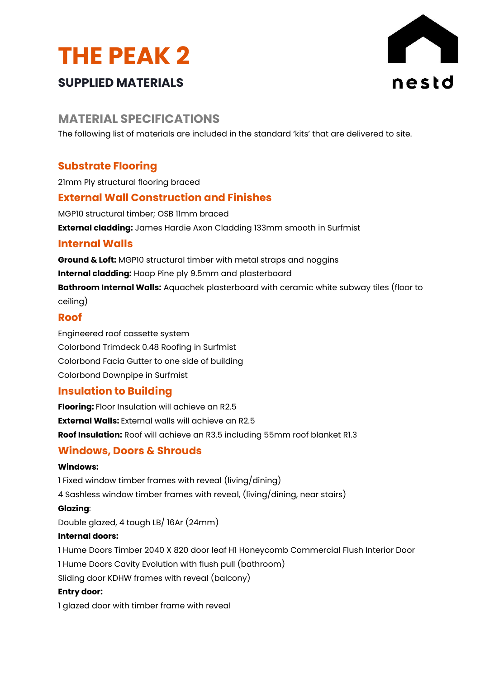



# **SUPPLIED MATERIALS**

# **MATERIAL SPECIFICATIONS**

The following list of materials are included in the standard 'kits' that are delivered to site.

# **Substrate Flooring**

21mm Ply structural flooring braced

## **External Wall Construction and Finishes**

MGP10 structural timber; OSB 11mm braced **External cladding:** James Hardie Axon Cladding 133mm smooth in Surfmist

## **Internal Walls**

**Ground & Loft:** MGP10 structural timber with metal straps and noggins **Internal cladding:** Hoop Pine ply 9.5mm and plasterboard **Bathroom Internal Walls:** Aquachek plasterboard with ceramic white subway tiles (floor to ceiling)

#### **Roof**

Engineered roof cassette system Colorbond Trimdeck 0.48 Roofing in Surfmist Colorbond Facia Gutter to one side of building Colorbond Downpipe in Surfmist

#### **Insulation to Building**

**Flooring:** Floor Insulation will achieve an R2.5 **External Walls:** External walls will achieve an R2.5 **Roof Insulation:** Roof will achieve an R3.5 including 55mm roof blanket R1.3

#### **Windows, Doors & Shrouds**

#### **Windows:**

1 Fixed window timber frames with reveal (living/dining) 4 Sashless window timber frames with reveal, (living/dining, near stairs) **Glazing**:

Double glazed, 4 tough LB/ 16Ar (24mm)

#### **Internal doors:**

1 Hume Doors Timber 2040 X 820 door leaf H1 Honeycomb Commercial Flush Interior Door 1 Hume Doors Cavity Evolution with flush pull (bathroom)

Sliding door KDHW frames with reveal (balcony)

#### **Entry door:**

1 glazed door with timber frame with reveal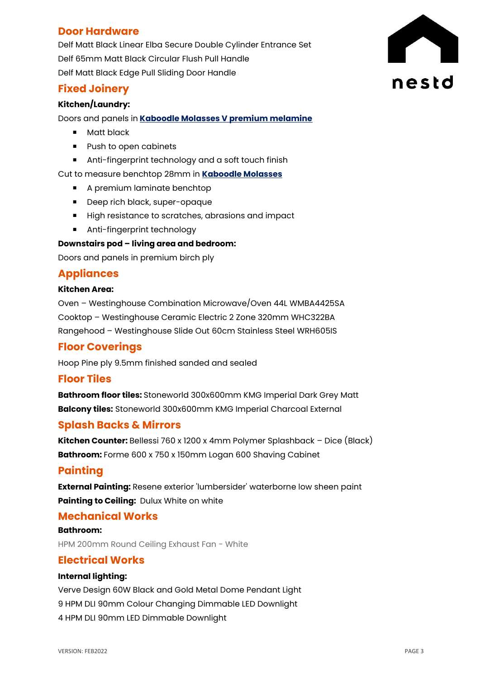# **Door Hardware**

Delf Matt Black Linear Elba Secure Double Cylinder Entrance Set Delf 65mm Matt Black Circular Flush Pull Handle Delf Matt Black Edge Pull Sliding Door Handle

# **Fixed Joinery**

#### **Kitchen/Laundry:**

Doors and panels in **[Kaboodle Molasses V premium melamine](https://www.kaboodle.com.au/products/detail/molasses-v)**

- **Matt black**
- **Push to open cabinets**
- **Anti-fingerprint technology and a soft touch finish**

Cut to measure benchtop 28mm in **[Kaboodle Molasses](https://www.kaboodle.com.au/products/detail/molasses-v)** 

- A premium laminate benchtop
- Deep rich black, super-opaque
- High resistance to scratches, abrasions and impact
- **Anti-fingerprint technology**

#### **Downstairs pod – living area and bedroom:**

Doors and panels in premium birch ply

# **Appliances**

#### **Kitchen Area:**

Oven – Westinghouse Combination Microwave/Oven 44L WMBA4425SA Cooktop – Westinghouse Ceramic Electric 2 Zone 320mm WHC322BA Rangehood – Westinghouse Slide Out 60cm Stainless Steel WRH605IS

#### **Floor Coverings**

Hoop Pine ply 9.5mm finished sanded and sealed

#### **Floor Tiles**

**Bathroom floor tiles:** Stoneworld 300x600mm KMG Imperial Dark Grey Matt **Balcony tiles:** Stoneworld 300x600mm KMG Imperial Charcoal External

#### **Splash Backs & Mirrors**

**Kitchen Counter:** Bellessi 760 x 1200 x 4mm Polymer Splashback – Dice (Black) **Bathroom:** Forme 600 x 750 x 150mm Logan 600 Shaving Cabinet

#### **Painting**

**External Painting:** Resene exterior 'lumbersider' waterborne low sheen paint **Painting to Ceiling:** Dulux White on white

#### **Mechanical Works**

**Bathroom:** HPM 200mm Round Ceiling Exhaust Fan - White

#### **Electrical Works**

#### **Internal lighting:**

Verve Design 60W Black and Gold Metal Dome Pendant Light 9 HPM DLI 90mm Colour Changing Dimmable LED Downlight 4 HPM DLI 90mm LED Dimmable Downlight

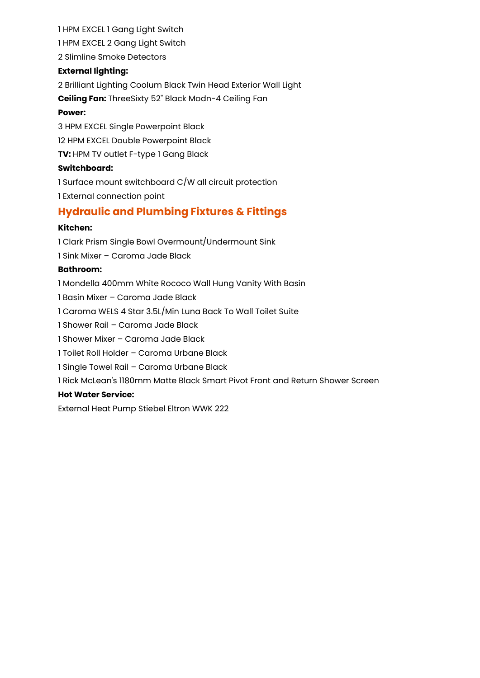#### 1 HPM EXCEL 1 Gang Light Switch

1 HPM EXCEL 2 Gang Light Switch

2 Slimline Smoke Detectors

#### **External lighting:**

2 Brilliant Lighting Coolum Black Twin Head Exterior Wall Light

**Ceiling Fan:** ThreeSixty 52" Black Modn-4 Ceiling Fan

#### **Power:**

3 HPM EXCEL Single Powerpoint Black 12 HPM EXCEL Double Powerpoint Black **TV:** HPM TV outlet F-type 1 Gang Black

#### **Switchboard:**

1 Surface mount switchboard C/W all circuit protection 1 External connection point

# **Hydraulic and Plumbing Fixtures & Fittings**

#### **Kitchen:**

1 Clark Prism Single Bowl Overmount/Undermount Sink 1 Sink Mixer – Caroma Jade Black **Bathroom:** 1 Mondella 400mm White Rococo Wall Hung Vanity With Basin 1 Basin Mixer – Caroma Jade Black 1 Caroma WELS 4 Star 3.5L/Min Luna Back To Wall Toilet Suite 1 Shower Rail – Caroma Jade Black 1 Shower Mixer – Caroma Jade Black 1 Toilet Roll Holder – Caroma Urbane Black 1 Single Towel Rail – Caroma Urbane Black 1 Rick McLean's 1180mm Matte Black Smart Pivot Front and Return Shower Screen

#### **Hot Water Service:**

External Heat Pump Stiebel Eltron WWK 222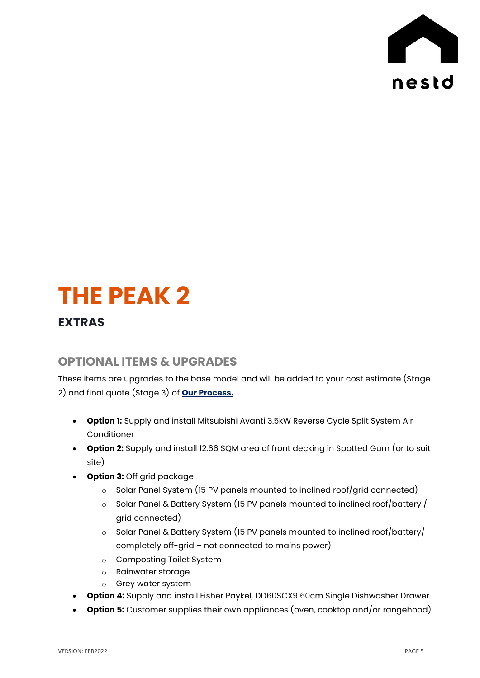

# **THE PEAK 2**

# **EXTRAS**

# **OPTIONAL ITEMS & UPGRADES**

These items are upgrades to the base model and will be added to your cost estimate (Stage 2) and final quote (Stage 3) of **Our Process.**

- **Option 1:** Supply and install Mitsubishi Avanti 3.5kW Reverse Cycle Split System Air Conditioner
- **Option 2:** Supply and install 12.66 SQM area of front decking in Spotted Gum (or to suit site)
- **Option 3:** Off grid package
	- o Solar Panel System (15 PV panels mounted to inclined roof/grid connected)
	- o Solar Panel & Battery System (15 PV panels mounted to inclined roof/battery / grid connected)
	- o Solar Panel & Battery System (15 PV panels mounted to inclined roof/battery/ completely off-grid – not connected to mains power)
	- o Composting Toilet System
	- o Rainwater storage
	- o Grey water system
- **Option 4:** Supply and install Fisher Paykel, DD60SCX9 60cm Single Dishwasher Drawer
- **Option 5:** Customer supplies their own appliances (oven, cooktop and/or rangehood)